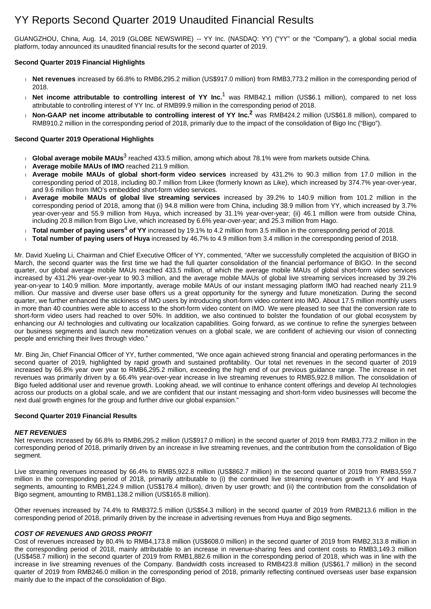# YY Reports Second Quarter 2019 Unaudited Financial Results

GUANGZHOU, China, Aug. 14, 2019 (GLOBE NEWSWIRE) -- YY Inc. (NASDAQ: YY) ("YY" or the "Company"), a global social media platform, today announced its unaudited financial results for the second quarter of 2019.

#### **Second Quarter 2019 Financial Highlights**

- **Net revenues** increased by 66.8% to RMB6,295.2 million (US\$917.0 million) from RMB3,773.2 million in the corresponding period of 2018.
- **Net income attributable to controlling interest of YY Inc.<sup>1</sup> was RMB42.1 million (US\$6.1 million), compared to net loss** attributable to controlling interest of YY Inc. of RMB99.9 million in the corresponding period of 2018.
- **Non-GAAP net income attributable to controlling interest of YY Inc.<sup>2</sup> was RMB424.2 million (US\$61.8 million), compared to** RMB910.2 million in the corresponding period of 2018, primarily due to the impact of the consolidation of Bigo Inc ("Bigo").

#### **Second Quarter 2019 Operational Highlights**

- **∂ Global average mobile MAUs<sup>3</sup> reached 433.5 million, among which about 78.1% were from markets outside China.**
- **Average mobile MAUs of IMO** reached 211.9 million.
- **Average mobile MAUs of global short-form video services** increased by 431.2% to 90.3 million from 17.0 million in the corresponding period of 2018, including 80.7 million from Likee (formerly known as Like), which increased by 374.7% year-over-year, and 9.6 million from IMO's embedded short-form video services.
- **Average mobile MAUs of global live streaming services** increased by 39.2% to 140.9 million from 101.2 million in the corresponding period of 2018, among that (i) 94.8 million were from China, including 38.9 million from YY, which increased by 3.7% year-over-year and 55.9 million from Huya, which increased by 31.1% year-over-year; (ii) 46.1 million were from outside China, including 20.8 million from Bigo Live, which increased by 6.6% year-over-year; and 25.3 million from Hago.
- Total number of paying users<sup>4</sup> of YY increased by 19.1% to 4.2 million from 3.5 million in the corresponding period of 2018.
- **Total number of paying users of Huya** increased by 46.7% to 4.9 million from 3.4 million in the corresponding period of 2018.

Mr. David Xueling Li, Chairman and Chief Executive Officer of YY, commented, "After we successfully completed the acquisition of BIGO in March, the second quarter was the first time we had the full quarter consolidation of the financial performance of BIGO. In the second quarter, our global average mobile MAUs reached 433.5 million, of which the average mobile MAUs of global short-form video services increased by 431.2% year-over-year to 90.3 million, and the average mobile MAUs of global live streaming services increased by 39.2% year-on-year to 140.9 million. More importantly, average mobile MAUs of our instant messaging platform IMO had reached nearly 211.9 million. Our massive and diverse user base offers us a great opportunity for the synergy and future monetization. During the second quarter, we further enhanced the stickiness of IMO users by introducing short-form video content into IMO. About 17.5 million monthly users in more than 40 countries were able to access to the short-form video content on IMO. We were pleased to see that the conversion rate to short-form video users had reached to over 50%. In addition, we also continued to bolster the foundation of our global ecosystem by enhancing our AI technologies and cultivating our localization capabilities. Going forward, as we continue to refine the synergies between our business segments and launch new monetization venues on a global scale, we are confident of achieving our vision of connecting people and enriching their lives through video."

Mr. Bing Jin, Chief Financial Officer of YY, further commented, "We once again achieved strong financial and operating performances in the second quarter of 2019, highlighted by rapid growth and sustained profitability. Our total net revenues in the second quarter of 2019 increased by 66.8% year over year to RMB6,295.2 million, exceeding the high end of our previous guidance range. The increase in net revenues was primarily driven by a 66.4% year-over-year increase in live streaming revenues to RMB5,922.8 million. The consolidation of Bigo fueled additional user and revenue growth. Looking ahead, we will continue to enhance content offerings and develop AI technologies across our products on a global scale, and we are confident that our instant messaging and short-form video businesses will become the next dual growth engines for the group and further drive our global expansion."

#### **Second Quarter 2019 Financial Results**

#### **NET REVENUES**

Net revenues increased by 66.8% to RMB6,295.2 million (US\$917.0 million) in the second quarter of 2019 from RMB3,773.2 million in the corresponding period of 2018, primarily driven by an increase in live streaming revenues, and the contribution from the consolidation of Bigo segment.

Live streaming revenues increased by 66.4% to RMB5,922.8 million (US\$862.7 million) in the second quarter of 2019 from RMB3,559.7 million in the corresponding period of 2018, primarily attributable to (i) the continued live streaming revenues growth in YY and Huya segments, amounting to RMB1,224.9 million (US\$178.4 million), driven by user growth; and (ii) the contribution from the consolidation of Bigo segment, amounting to RMB1,138.2 million (US\$165.8 million).

Other revenues increased by 74.4% to RMB372.5 million (US\$54.3 million) in the second quarter of 2019 from RMB213.6 million in the corresponding period of 2018, primarily driven by the increase in advertising revenues from Huya and Bigo segments.

#### **COST OF REVENUES AND GROSS PROFIT**

Cost of revenues increased by 80.4% to RMB4,173.8 million (US\$608.0 million) in the second quarter of 2019 from RMB2,313.8 million in the corresponding period of 2018, mainly attributable to an increase in revenue-sharing fees and content costs to RMB3,149.3 million (US\$458.7 million) in the second quarter of 2019 from RMB1,882.6 million in the corresponding period of 2018, which was in line with the increase in live streaming revenues of the Company. Bandwidth costs increased to RMB423.8 million (US\$61.7 million) in the second quarter of 2019 from RMB246.0 million in the corresponding period of 2018, primarily reflecting continued overseas user base expansion mainly due to the impact of the consolidation of Bigo.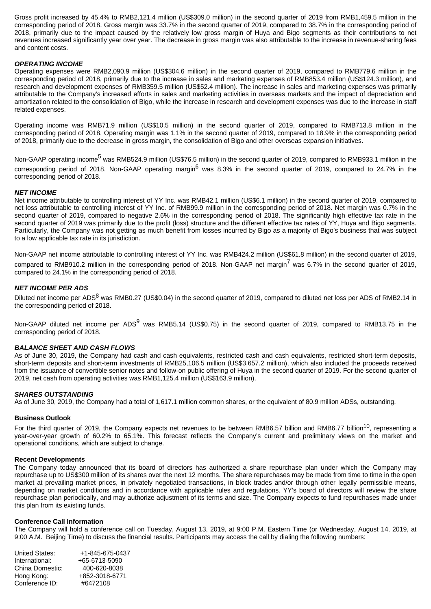Gross profit increased by 45.4% to RMB2,121.4 million (US\$309.0 million) in the second quarter of 2019 from RMB1,459.5 million in the corresponding period of 2018. Gross margin was 33.7% in the second quarter of 2019, compared to 38.7% in the corresponding period of 2018, primarily due to the impact caused by the relatively low gross margin of Huya and Bigo segments as their contributions to net revenues increased significantly year over year. The decrease in gross margin was also attributable to the increase in revenue-sharing fees and content costs.

#### **OPERATING INCOME**

Operating expenses were RMB2,090.9 million (US\$304.6 million) in the second quarter of 2019, compared to RMB779.6 million in the corresponding period of 2018, primarily due to the increase in sales and marketing expenses of RMB853.4 million (US\$124.3 million), and research and development expenses of RMB359.5 million (US\$52.4 million). The increase in sales and marketing expenses was primarily attributable to the Company's increased efforts in sales and marketing activities in overseas markets and the impact of depreciation and amortization related to the consolidation of Bigo, while the increase in research and development expenses was due to the increase in staff related expenses.

Operating income was RMB71.9 million (US\$10.5 million) in the second quarter of 2019, compared to RMB713.8 million in the corresponding period of 2018. Operating margin was 1.1% in the second quarter of 2019, compared to 18.9% in the corresponding period of 2018, primarily due to the decrease in gross margin, the consolidation of Bigo and other overseas expansion initiatives.

Non-GAAP operating income<sup>5</sup> was RMB524.9 million (US\$76.5 million) in the second quarter of 2019, compared to RMB933.1 million in the corresponding period of 2018. Non-GAAP operating margin<sup>6</sup> was 8.3% in the second quarter of 2019, compared to 24.7% in the corresponding period of 2018.

#### **NET INCOME**

Net income attributable to controlling interest of YY Inc. was RMB42.1 million (US\$6.1 million) in the second quarter of 2019, compared to net loss attributable to controlling interest of YY Inc. of RMB99.9 million in the corresponding period of 2018. Net margin was 0.7% in the second quarter of 2019, compared to negative 2.6% in the corresponding period of 2018. The significantly high effective tax rate in the second quarter of 2019 was primarily due to the profit (loss) structure and the different effective tax rates of YY, Huya and Bigo segments. Particularly, the Company was not getting as much benefit from losses incurred by Bigo as a majority of Bigo's business that was subject to a low applicable tax rate in its jurisdiction.

Non-GAAP net income attributable to controlling interest of YY Inc. was RMB424.2 million (US\$61.8 million) in the second quarter of 2019,

compared to RMB910.2 million in the corresponding period of 2018. Non-GAAP net margin<sup>7</sup> was 6.7% in the second quarter of 2019, compared to 24.1% in the corresponding period of 2018.

#### **NET INCOME PER ADS**

Diluted net income per ADS<sup>8</sup> was RMB0.27 (US\$0.04) in the second quarter of 2019, compared to diluted net loss per ADS of RMB2.14 in the corresponding period of 2018.

Non-GAAP diluted net income per ADS<sup>9</sup> was RMB5.14 (US\$0.75) in the second quarter of 2019, compared to RMB13.75 in the corresponding period of 2018.

#### **BALANCE SHEET AND CASH FLOWS**

As of June 30, 2019, the Company had cash and cash equivalents, restricted cash and cash equivalents, restricted short-term deposits, short-term deposits and short-term investments of RMB25,106.5 million (US\$3,657.2 million), which also included the proceeds received from the issuance of convertible senior notes and follow-on public offering of Huya in the second quarter of 2019. For the second quarter of 2019, net cash from operating activities was RMB1,125.4 million (US\$163.9 million).

#### **SHARES OUTSTANDING**

As of June 30, 2019, the Company had a total of 1,617.1 million common shares, or the equivalent of 80.9 million ADSs, outstanding.

#### **Business Outlook**

For the third quarter of 2019, the Company expects net revenues to be between RMB6.57 billion and RMB6.77 billion<sup>10</sup>, representing a year-over-year growth of 60.2% to 65.1%. This forecast reflects the Company's current and preliminary views on the market and operational conditions, which are subject to change.

#### **Recent Developments**

The Company today announced that its board of directors has authorized a share repurchase plan under which the Company may repurchase up to US\$300 million of its shares over the next 12 months. The share repurchases may be made from time to time in the open market at prevailing market prices, in privately negotiated transactions, in block trades and/or through other legally permissible means, depending on market conditions and in accordance with applicable rules and regulations. YY's board of directors will review the share repurchase plan periodically, and may authorize adjustment of its terms and size. The Company expects to fund repurchases made under this plan from its existing funds.

#### **Conference Call Information**

The Company will hold a conference call on Tuesday, August 13, 2019, at 9:00 P.M. Eastern Time (or Wednesday, August 14, 2019, at 9:00 A.M. Beijing Time) to discuss the financial results. Participants may access the call by dialing the following numbers:

| United States:  | +1-845-675-0437 |
|-----------------|-----------------|
| International:  | +65-6713-5090   |
| China Domestic: | 400-620-8038    |
| Hong Kong:      | +852-3018-6771  |
| Conference ID:  | #6472108        |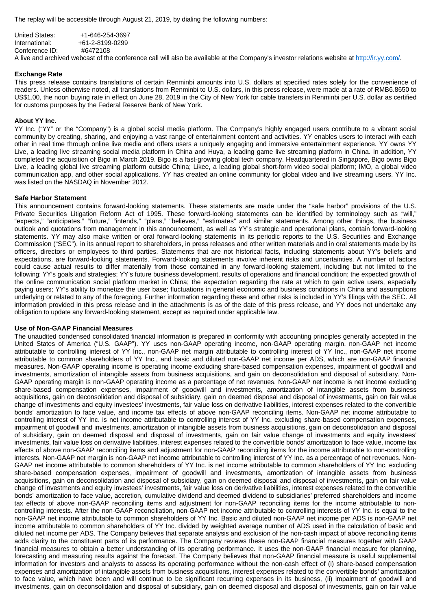The replay will be accessible through August 21, 2019, by dialing the following numbers:

| United States: | +1-646-254-3697 |
|----------------|-----------------|
| International: | +61-2-8199-0299 |
| Conference ID: | #6472108        |

A live and archived webcast of the conference call will also be available at the Company's investor relations website at<http://ir.yy.com/>.

#### **Exchange Rate**

This press release contains translations of certain Renminbi amounts into U.S. dollars at specified rates solely for the convenience of readers. Unless otherwise noted, all translations from Renminbi to U.S. dollars, in this press release, were made at a rate of RMB6.8650 to US\$1.00, the noon buying rate in effect on June 28, 2019 in the City of New York for cable transfers in Renminbi per U.S. dollar as certified for customs purposes by the Federal Reserve Bank of New York.

#### **About YY Inc.**

YY Inc. ("YY" or the "Company") is a global social media platform. The Company's highly engaged users contribute to a vibrant social community by creating, sharing, and enjoying a vast range of entertainment content and activities. YY enables users to interact with each other in real time through online live media and offers users a uniquely engaging and immersive entertainment experience. YY owns YY Live, a leading live streaming social media platform in China and Huya, a leading game live streaming platform in China. In addition, YY completed the acquisition of Bigo in March 2019. Bigo is a fast-growing global tech company. Headquartered in Singapore, Bigo owns Bigo Live, a leading global live streaming platform outside China; Likee, a leading global short-form video social platform; IMO, a global video communication app, and other social applications. YY has created an online community for global video and live streaming users. YY Inc. was listed on the NASDAQ in November 2012.

#### **Safe Harbor Statement**

This announcement contains forward-looking statements. These statements are made under the "safe harbor" provisions of the U.S. Private Securities Litigation Reform Act of 1995. These forward-looking statements can be identified by terminology such as "will." "expects," "anticipates," "future," "intends," "plans," "believes," "estimates" and similar statements. Among other things, the business outlook and quotations from management in this announcement, as well as YY's strategic and operational plans, contain forward-looking statements. YY may also make written or oral forward-looking statements in its periodic reports to the U.S. Securities and Exchange Commission ("SEC"), in its annual report to shareholders, in press releases and other written materials and in oral statements made by its officers, directors or employees to third parties. Statements that are not historical facts, including statements about YY's beliefs and expectations, are forward-looking statements. Forward-looking statements involve inherent risks and uncertainties. A number of factors could cause actual results to differ materially from those contained in any forward-looking statement, including but not limited to the following: YY's goals and strategies; YY's future business development, results of operations and financial condition; the expected growth of the online communication social platform market in China; the expectation regarding the rate at which to gain active users, especially paying users; YY's ability to monetize the user base; fluctuations in general economic and business conditions in China and assumptions underlying or related to any of the foregoing. Further information regarding these and other risks is included in YY's filings with the SEC. All information provided in this press release and in the attachments is as of the date of this press release, and YY does not undertake any obligation to update any forward-looking statement, except as required under applicable law.

#### **Use of Non-GAAP Financial Measures**

The unaudited condensed consolidated financial information is prepared in conformity with accounting principles generally accepted in the United States of America ("U.S. GAAP"). YY uses non-GAAP operating income, non-GAAP operating margin, non-GAAP net income attributable to controlling interest of YY Inc., non-GAAP net margin attributable to controlling interest of YY Inc., non-GAAP net income attributable to common shareholders of YY Inc., and basic and diluted non-GAAP net income per ADS, which are non-GAAP financial measures. Non-GAAP operating income is operating income excluding share-based compensation expenses, impairment of goodwill and investments, amortization of intangible assets from business acquisitions, and gain on deconsolidation and disposal of subsidiary. Non-GAAP operating margin is non-GAAP operating income as a percentage of net revenues. Non-GAAP net income is net income excluding share-based compensation expenses, impairment of goodwill and investments, amortization of intangible assets from business acquisitions, gain on deconsolidation and disposal of subsidiary, gain on deemed disposal and disposal of investments, gain on fair value change of investments and equity investees' investments, fair value loss on derivative liabilities, interest expenses related to the convertible bonds' amortization to face value, and income tax effects of above non-GAAP reconciling items. Non-GAAP net income attributable to controlling interest of YY Inc. is net income attributable to controlling interest of YY Inc. excluding share-based compensation expenses, impairment of goodwill and investments, amortization of intangible assets from business acquisitions, gain on deconsolidation and disposal of subsidiary, gain on deemed disposal and disposal of investments, gain on fair value change of investments and equity investees' investments, fair value loss on derivative liabilities, interest expenses related to the convertible bonds' amortization to face value, income tax effects of above non-GAAP reconciling items and adjustment for non-GAAP reconciling items for the income attributable to non-controlling interests. Non-GAAP net margin is non-GAAP net income attributable to controlling interest of YY Inc. as a percentage of net revenues. Non-GAAP net income attributable to common shareholders of YY Inc. is net income attributable to common shareholders of YY Inc. excluding share-based compensation expenses, impairment of goodwill and investments, amortization of intangible assets from business acquisitions, gain on deconsolidation and disposal of subsidiary, gain on deemed disposal and disposal of investments, gain on fair value change of investments and equity investees' investments, fair value loss on derivative liabilities, interest expenses related to the convertible bonds' amortization to face value, accretion, cumulative dividend and deemed dividend to subsidiaries' preferred shareholders and income tax effects of above non-GAAP reconciling items and adjustment for non-GAAP reconciling items for the income attributable to noncontrolling interests. After the non-GAAP reconciliation, non-GAAP net income attributable to controlling interests of YY Inc. is equal to the non-GAAP net income attributable to common shareholders of YY Inc. Basic and diluted non-GAAP net income per ADS is non-GAAP net income attributable to common shareholders of YY Inc. divided by weighted average number of ADS used in the calculation of basic and diluted net income per ADS. The Company believes that separate analysis and exclusion of the non-cash impact of above reconciling items adds clarity to the constituent parts of its performance. The Company reviews these non-GAAP financial measures together with GAAP financial measures to obtain a better understanding of its operating performance. It uses the non-GAAP financial measure for planning, forecasting and measuring results against the forecast. The Company believes that non-GAAP financial measure is useful supplemental information for investors and analysts to assess its operating performance without the non-cash effect of (i) share-based compensation expenses and amortization of intangible assets from business acquisitions, interest expenses related to the convertible bonds' amortization to face value, which have been and will continue to be significant recurring expenses in its business, (ii) impairment of goodwill and investments, gain on deconsolidation and disposal of subsidiary, gain on deemed disposal and disposal of investments, gain on fair value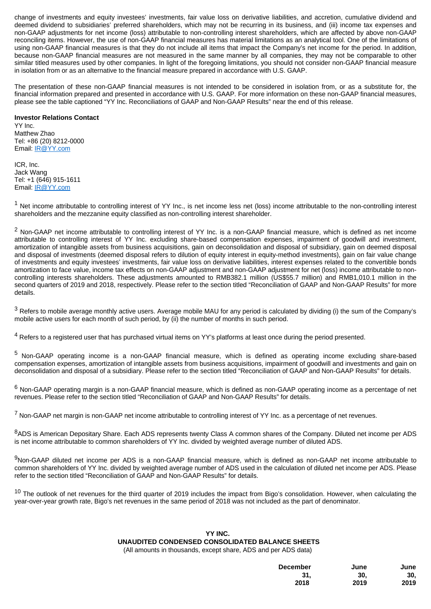change of investments and equity investees' investments, fair value loss on derivative liabilities, and accretion, cumulative dividend and deemed dividend to subsidiaries' preferred shareholders, which may not be recurring in its business, and (iii) income tax expenses and non-GAAP adjustments for net income (loss) attributable to non-controlling interest shareholders, which are affected by above non-GAAP reconciling items. However, the use of non-GAAP financial measures has material limitations as an analytical tool. One of the limitations of using non-GAAP financial measures is that they do not include all items that impact the Company's net income for the period. In addition, because non-GAAP financial measures are not measured in the same manner by all companies, they may not be comparable to other similar titled measures used by other companies. In light of the foregoing limitations, you should not consider non-GAAP financial measure in isolation from or as an alternative to the financial measure prepared in accordance with U.S. GAAP.

The presentation of these non-GAAP financial measures is not intended to be considered in isolation from, or as a substitute for, the financial information prepared and presented in accordance with U.S. GAAP. For more information on these non-GAAP financial measures, please see the table captioned "YY Inc. Reconciliations of GAAP and Non-GAAP Results" near the end of this release.

#### **Investor Relations Contact**

YY Inc. Matthew Zhao Tel: +86 (20) 8212-0000 Email: [IR@YY.com](mailto:IR@YY.com)

ICR, Inc. Jack Wang Tel: +1 (646) 915-1611 Email: [IR@YY.com](mailto:IR@YY.com)

<sup>1</sup> Net income attributable to controlling interest of YY Inc., is net income less net (loss) income attributable to the non-controlling interest shareholders and the mezzanine equity classified as non-controlling interest shareholder.

<sup>2</sup> Non-GAAP net income attributable to controlling interest of YY Inc. is a non-GAAP financial measure, which is defined as net income attributable to controlling interest of YY Inc. excluding share-based compensation expenses, impairment of goodwill and investment, amortization of intangible assets from business acquisitions, gain on deconsolidation and disposal of subsidiary, gain on deemed disposal and disposal of investments (deemed disposal refers to dilution of equity interest in equity-method investments), gain on fair value change of investments and equity investees' investments, fair value loss on derivative liabilities, interest expenses related to the convertible bonds amortization to face value, income tax effects on non-GAAP adjustment and non-GAAP adjustment for net (loss) income attributable to noncontrolling interests shareholders. These adjustments amounted to RMB382.1 million (US\$55.7 million) and RMB1,010.1 million in the second quarters of 2019 and 2018, respectively. Please refer to the section titled "Reconciliation of GAAP and Non-GAAP Results" for more details.

 $^3$  Refers to mobile average monthly active users. Average mobile MAU for any period is calculated by dividing (i) the sum of the Company's mobile active users for each month of such period, by (ii) the number of months in such period.

<sup>4</sup> Refers to a registered user that has purchased virtual items on YY's platforms at least once during the period presented.

<sup>5</sup> Non-GAAP operating income is a non-GAAP financial measure, which is defined as operating income excluding share-based compensation expenses, amortization of intangible assets from business acquisitions, impairment of goodwill and investments and gain on deconsolidation and disposal of a subsidiary. Please refer to the section titled "Reconciliation of GAAP and Non-GAAP Results" for details.

 $^6$  Non-GAAP operating margin is a non-GAAP financial measure, which is defined as non-GAAP operating income as a percentage of net revenues. Please refer to the section titled "Reconciliation of GAAP and Non-GAAP Results" for details.

<sup>7</sup> Non-GAAP net margin is non-GAAP net income attributable to controlling interest of YY Inc. as a percentage of net revenues.

8ADS is American Depositary Share. Each ADS represents twenty Class A common shares of the Company. Diluted net income per ADS is net income attributable to common shareholders of YY Inc. divided by weighted average number of diluted ADS.

9Non-GAAP diluted net income per ADS is a non-GAAP financial measure, which is defined as non-GAAP net income attributable to common shareholders of YY Inc. divided by weighted average number of ADS used in the calculation of diluted net income per ADS. Please refer to the section titled "Reconciliation of GAAP and Non-GAAP Results" for details.

 $10$  The outlook of net revenues for the third quarter of 2019 includes the impact from Bigo's consolidation. However, when calculating the year-over-year growth rate, Bigo's net revenues in the same period of 2018 was not included as the part of denominator.

## **YY INC. UNAUDITED CONDENSED CONSOLIDATED BALANCE SHEETS**

| <b>December</b> | June | June |
|-----------------|------|------|
| 31.             | 30.  | 30.  |
| 2018            | 2019 | 2019 |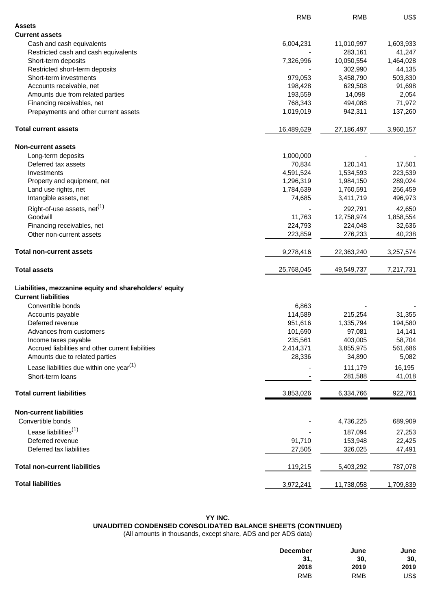|                                                                                      | <b>RMB</b> | <b>RMB</b> | US\$      |
|--------------------------------------------------------------------------------------|------------|------------|-----------|
| <b>Assets</b>                                                                        |            |            |           |
| <b>Current assets</b>                                                                |            |            |           |
| Cash and cash equivalents                                                            | 6,004,231  | 11,010,997 | 1,603,933 |
| Restricted cash and cash equivalents                                                 |            | 283,161    | 41,247    |
| Short-term deposits                                                                  | 7,326,996  | 10,050,554 | 1,464,028 |
| Restricted short-term deposits                                                       |            | 302,990    | 44,135    |
| Short-term investments                                                               | 979,053    | 3,458,790  | 503,830   |
| Accounts receivable, net                                                             | 198,428    | 629,508    | 91,698    |
| Amounts due from related parties                                                     | 193,559    | 14,098     | 2,054     |
| Financing receivables, net                                                           | 768,343    | 494,088    | 71,972    |
| Prepayments and other current assets                                                 | 1,019,019  | 942,311    | 137,260   |
| <b>Total current assets</b>                                                          | 16,489,629 | 27,186,497 | 3,960,157 |
| <b>Non-current assets</b>                                                            |            |            |           |
| Long-term deposits                                                                   | 1,000,000  |            |           |
| Deferred tax assets                                                                  | 70,834     | 120,141    | 17,501    |
| Investments                                                                          | 4,591,524  | 1,534,593  | 223,539   |
| Property and equipment, net                                                          | 1,296,319  | 1,984,150  | 289,024   |
| Land use rights, net                                                                 | 1,784,639  | 1,760,591  | 256,459   |
| Intangible assets, net                                                               | 74,685     | 3,411,719  | 496,973   |
| Right-of-use assets, $net(1)$                                                        |            | 292,791    | 42,650    |
| Goodwill                                                                             | 11,763     | 12,758,974 | 1,858,554 |
| Financing receivables, net                                                           | 224,793    | 224,048    | 32,636    |
| Other non-current assets                                                             | 223,859    | 276,233    | 40,238    |
| <b>Total non-current assets</b>                                                      | 9,278,416  | 22,363,240 | 3,257,574 |
| <b>Total assets</b>                                                                  | 25,768,045 | 49,549,737 | 7,217,731 |
|                                                                                      |            |            |           |
| Liabilities, mezzanine equity and shareholders' equity<br><b>Current liabilities</b> |            |            |           |
| Convertible bonds                                                                    | 6,863      |            |           |
| Accounts payable                                                                     | 114,589    | 215,254    | 31,355    |
| Deferred revenue                                                                     | 951,616    | 1,335,794  | 194,580   |
| Advances from customers                                                              | 101,690    | 97,081     | 14,141    |
| Income taxes payable                                                                 | 235,561    | 403,005    | 58,704    |
| Accrued liabilities and other current liabilities                                    | 2,414,371  | 3,855,975  | 561,686   |
| Amounts due to related parties                                                       | 28,336     | 34,890     | 5,082     |
| Lease liabilities due within one year <sup>(1)</sup>                                 |            | 111,179    | 16,195    |
| Short-term loans                                                                     |            | 281,588    | 41,018    |
| <b>Total current liabilities</b>                                                     | 3,853,026  | 6,334,766  | 922,761   |
|                                                                                      |            |            |           |
| <b>Non-current liabilities</b>                                                       |            |            |           |
| Convertible bonds                                                                    |            | 4,736,225  | 689,909   |
| Lease liabilities <sup>(1)</sup>                                                     |            | 187,094    | 27,253    |
| Deferred revenue                                                                     | 91,710     | 153,948    | 22,425    |
| Deferred tax liabilities                                                             | 27,505     | 326,025    | 47,491    |
| <b>Total non-current liabilities</b>                                                 | 119,215    | 5,403,292  | 787,078   |
| <b>Total liabilities</b>                                                             | 3,972,241  | 11,738,058 | 1,709,839 |
|                                                                                      |            |            |           |

## **YY INC.**

## **UNAUDITED CONDENSED CONSOLIDATED BALANCE SHEETS (CONTINUED)**

| <b>December</b> | June       | June |
|-----------------|------------|------|
| 31.             | 30.        | 30.  |
| 2018            | 2019       | 2019 |
| <b>RMB</b>      | <b>RMB</b> | US\$ |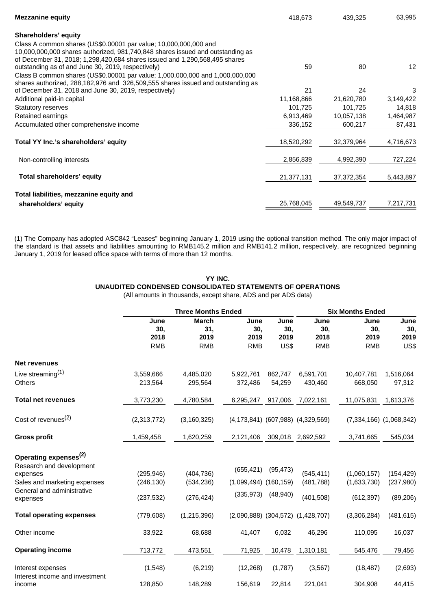| <b>Mezzanine equity</b>                                                                                                                                      | 418,673    | 439,325      | 63,995            |
|--------------------------------------------------------------------------------------------------------------------------------------------------------------|------------|--------------|-------------------|
| Shareholders' equity                                                                                                                                         |            |              |                   |
| Class A common shares (US\$0.00001 par value; 10,000,000,000 and                                                                                             |            |              |                   |
| 10,000,000,000 shares authorized, 981,740,848 shares issued and outstanding as<br>of December 31, 2018; 1,298,420,684 shares issued and 1,290,568,495 shares |            |              |                   |
| outstanding as of and June 30, 2019, respectively)                                                                                                           | 59         | 80           | $12 \overline{ }$ |
| Class B common shares (US\$0.00001 par value; 1,000,000,000 and 1,000,000,000                                                                                |            |              |                   |
| shares authorized, 288,182,976 and 326,509,555 shares issued and outstanding as                                                                              |            |              |                   |
| of December 31, 2018 and June 30, 2019, respectively)                                                                                                        | 21         | 24           | 3                 |
| Additional paid-in capital                                                                                                                                   | 11,168,866 | 21,620,780   | 3,149,422         |
| <b>Statutory reserves</b>                                                                                                                                    | 101,725    | 101,725      | 14,818            |
| Retained earnings                                                                                                                                            | 6,913,469  | 10,057,138   | 1,464,987         |
| Accumulated other comprehensive income                                                                                                                       | 336,152    | 600,217      | 87,431            |
| Total YY Inc.'s shareholders' equity                                                                                                                         | 18,520,292 | 32,379,964   | 4,716,673         |
| Non-controlling interests                                                                                                                                    | 2,856,839  | 4,992,390    | 727,224           |
| Total shareholders' equity                                                                                                                                   | 21,377,131 | 37, 372, 354 | 5,443,897         |
| Total liabilities, mezzanine equity and                                                                                                                      |            |              |                   |
| shareholders' equity                                                                                                                                         | 25,768,045 | 49,549,737   | 7,217,731         |

(1) The Company has adopted ASC842 "Leases" beginning January 1, 2019 using the optional transition method. The only major impact of the standard is that assets and liabilities amounting to RMB145.2 million and RMB141.2 million, respectively, are recognized beginning January 1, 2019 for leased office space with terms of more than 12 months.

> **YY INC. UNAUDITED CONDENSED CONSOLIDATED STATEMENTS OF OPERATIONS**

|                                                            |                                   | <b>Three Months Ended</b>                 |                                   |                             |                                         | <b>Six Months Ended</b>           |                             |  |  |
|------------------------------------------------------------|-----------------------------------|-------------------------------------------|-----------------------------------|-----------------------------|-----------------------------------------|-----------------------------------|-----------------------------|--|--|
|                                                            | June<br>30,<br>2018<br><b>RMB</b> | <b>March</b><br>31,<br>2019<br><b>RMB</b> | June<br>30,<br>2019<br><b>RMB</b> | June<br>30,<br>2019<br>US\$ | June<br>30,<br>2018<br><b>RMB</b>       | June<br>30,<br>2019<br><b>RMB</b> | June<br>30,<br>2019<br>US\$ |  |  |
| <b>Net revenues</b>                                        |                                   |                                           |                                   |                             |                                         |                                   |                             |  |  |
| Live streaming $(1)$                                       | 3,559,666                         | 4,485,020                                 | 5,922,761                         | 862,747                     | 6,591,701                               | 10,407,781                        | 1,516,064                   |  |  |
| <b>Others</b>                                              | 213,564                           | 295,564                                   | 372,486                           | 54,259                      | 430,460                                 | 668,050                           | 97,312                      |  |  |
| <b>Total net revenues</b>                                  | 3,773,230                         | 4,780,584                                 | 6,295,247                         | 917,006                     | 7,022,161                               | 11,075,831                        | 1,613,376                   |  |  |
| Cost of revenues <sup>(2)</sup>                            | (2,313,772)                       | (3, 160, 325)                             | (4, 173, 841)                     | (607, 988)                  | (4,329,569)                             | (7, 334, 166)                     | (1,068,342)                 |  |  |
| <b>Gross profit</b>                                        | 1,459,458                         | 1,620,259                                 | 2,121,406                         | 309,018                     | 2,692,592                               | 3,741,665                         | 545,034                     |  |  |
| Operating expenses <sup>(2)</sup>                          |                                   |                                           |                                   |                             |                                         |                                   |                             |  |  |
| Research and development                                   |                                   |                                           | (655, 421)                        | (95, 473)                   |                                         |                                   |                             |  |  |
| expenses                                                   | (295, 946)                        | (404, 736)                                |                                   |                             | (545, 411)                              | (1,060,157)                       | (154, 429)                  |  |  |
| Sales and marketing expenses<br>General and administrative | (246, 130)                        | (534, 236)                                | $(1,099,494)$ $(160,159)$         |                             | (481, 788)                              | (1,633,730)                       | (237, 980)                  |  |  |
| expenses                                                   | (237, 532)                        | (276, 424)                                | (335, 973)                        | (48, 940)                   | (401, 508)                              | (612, 397)                        | (89, 206)                   |  |  |
| <b>Total operating expenses</b>                            | (779, 608)                        | (1,215,396)                               |                                   |                             | $(2,090,888)$ $(304,572)$ $(1,428,707)$ | (3,306,284)                       | (481, 615)                  |  |  |
| Other income                                               | 33,922                            | 68,688                                    | 41,407                            | 6,032                       | 46,296                                  | 110,095                           | 16,037                      |  |  |
| <b>Operating income</b>                                    | 713,772                           | 473,551                                   | 71,925                            | 10,478                      | 1,310,181                               | 545,476                           | 79,456                      |  |  |
| Interest expenses<br>Interest income and investment        | (1, 548)                          | (6, 219)                                  | (12, 268)                         | (1,787)                     | (3, 567)                                | (18, 487)                         | (2,693)                     |  |  |
| income                                                     | 128,850                           | 148,289                                   | 156,619                           | 22,814                      | 221,041                                 | 304,908                           | 44,415                      |  |  |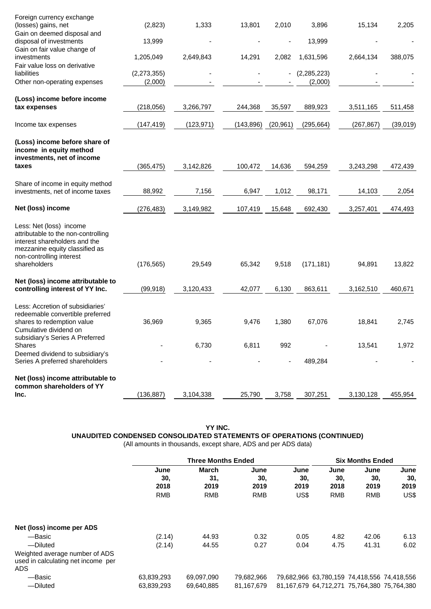| Inc.                                                                                                                                                                          | (136, 887)               | 3,104,338  | 25,790     | 3,758     | 307,251                  | 3,130,128  | 455,954  |
|-------------------------------------------------------------------------------------------------------------------------------------------------------------------------------|--------------------------|------------|------------|-----------|--------------------------|------------|----------|
| Net (loss) income attributable to<br>common shareholders of YY                                                                                                                |                          |            |            |           |                          |            |          |
| Deemed dividend to subsidiary's<br>Series A preferred shareholders                                                                                                            |                          |            |            |           | 489,284                  |            |          |
| subsidiary's Series A Preferred<br>Shares                                                                                                                                     |                          | 6,730      | 6,811      | 992       |                          | 13,541     | 1,972    |
| Less: Accretion of subsidiaries'<br>redeemable convertible preferred<br>shares to redemption value<br>Cumulative dividend on                                                  | 36,969                   | 9,365      | 9,476      | 1,380     | 67,076                   | 18,841     | 2,745    |
| Net (loss) income attributable to<br>controlling interest of YY Inc.                                                                                                          | (99, 918)                | 3,120,433  | 42,077     | 6,130     | 863,611                  | 3,162,510  | 460,671  |
| Less: Net (loss) income<br>attributable to the non-controlling<br>interest shareholders and the<br>mezzanine equity classified as<br>non-controlling interest<br>shareholders | (176, 565)               | 29,549     | 65,342     | 9,518     | (171, 181)               | 94,891     | 13,822   |
| Net (loss) income                                                                                                                                                             | (276, 483)               | 3,149,982  | 107,419    | 15,648    | 692,430                  | 3,257,401  | 474,493  |
| Share of income in equity method<br>investments, net of income taxes                                                                                                          | 88,992                   | 7,156      | 6,947      | 1,012     | 98,171                   | 14,103     | 2,054    |
| (Loss) income before share of<br>income in equity method<br>investments, net of income<br>taxes                                                                               | (365, 475)               | 3,142,826  | 100,472    | 14,636    | 594,259                  | 3,243,298  | 472,439  |
| Income tax expenses                                                                                                                                                           | (147, 419)               | (123, 971) | (143, 896) | (20, 961) | (295, 664)               | (267, 867) | (39,019) |
| (Loss) income before income<br>tax expenses                                                                                                                                   | (218, 056)               | 3,266,797  | 244,368    | 35,597    | 889,923                  | 3,511,165  | 511,458  |
| liabilities<br>Other non-operating expenses                                                                                                                                   | (2, 273, 355)<br>(2,000) |            |            |           | (2, 285, 223)<br>(2,000) |            |          |
| Gain on fair value change of<br>investments<br>Fair value loss on derivative                                                                                                  | 1,205,049                | 2,649,843  | 14,291     | 2,082     | 1,631,596                | 2,664,134  | 388,075  |
| Gain on deemed disposal and<br>disposal of investments                                                                                                                        | 13,999                   |            |            |           | 13,999                   |            |          |
| Foreign currency exchange<br>(losses) gains, net                                                                                                                              | (2,823)                  | 1,333      | 13,801     | 2,010     | 3,896                    | 15,134     | 2,205    |

**YY INC.**

**UNAUDITED CONDENSED CONSOLIDATED STATEMENTS OF OPERATIONS (CONTINUED)**

|                                                                                    |                     | <b>Three Months Ended</b> |                     |                     |                                             |                     | <b>Six Months Ended</b>                     |  |  |
|------------------------------------------------------------------------------------|---------------------|---------------------------|---------------------|---------------------|---------------------------------------------|---------------------|---------------------------------------------|--|--|
|                                                                                    | June<br>30.<br>2018 | March<br>31.<br>2019      | June<br>30.<br>2019 | June<br>30.<br>2019 | June<br>30.<br>2018                         | June<br>30.<br>2019 | June<br>30,<br>2019                         |  |  |
|                                                                                    | <b>RMB</b>          | <b>RMB</b>                | <b>RMB</b>          | US\$                | <b>RMB</b>                                  | <b>RMB</b>          | US\$                                        |  |  |
| Net (loss) income per ADS                                                          |                     |                           |                     |                     |                                             |                     |                                             |  |  |
| -Basic<br>-Diluted                                                                 | (2.14)<br>(2.14)    | 44.93<br>44.55            | 0.32<br>0.27        | 0.05<br>0.04        | 4.82<br>4.75                                | 42.06<br>41.31      | 6.13<br>6.02                                |  |  |
| Weighted average number of ADS<br>used in calculating net income per<br><b>ADS</b> |                     |                           |                     |                     |                                             |                     |                                             |  |  |
| -Basic                                                                             | 63,839,293          | 69,097,090                | 79,682,966          |                     |                                             |                     | 79,682,966 63,780,159 74,418,556 74,418,556 |  |  |
| -Diluted                                                                           | 63,839,293          | 69.640.885                | 81.167.679          |                     | 81,167,679 64,712,271 75,764,380 75,764,380 |                     |                                             |  |  |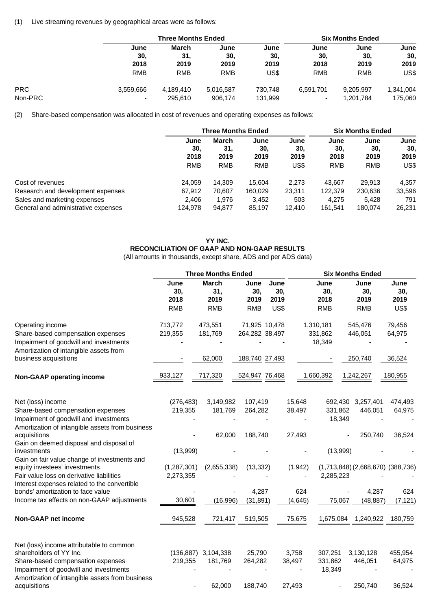#### (1) Live streaming revenues by geographical areas were as follows:

|            |                          | <b>Three Months Ended</b> |            |         |                          | <b>Six Months Ended</b> |           |  |  |
|------------|--------------------------|---------------------------|------------|---------|--------------------------|-------------------------|-----------|--|--|
|            | June                     | March                     | June       | June    | June                     | June                    | June      |  |  |
|            | 30.                      | 31.                       | 30.        | 30,     | 30.                      | 30.                     | 30,       |  |  |
|            | 2018                     | 2019                      | 2019       | 2019    | 2018                     | 2019                    | 2019      |  |  |
|            | <b>RMB</b>               | <b>RMB</b>                | <b>RMB</b> | US\$    | <b>RMB</b>               | <b>RMB</b>              | US\$      |  |  |
| <b>PRC</b> | 3.559.666                | 4,189,410                 | 5,016,587  | 730.748 | 6.591.701                | 9.205.997               | 1,341,004 |  |  |
| Non-PRC    | $\overline{\phantom{0}}$ | 295.610                   | 906,174    | 131,999 | $\overline{\phantom{0}}$ | 1.201.784               | 175,060   |  |  |

(2) Share-based compensation was allocated in cost of revenues and operating expenses as follows:

|                                     | <b>Three Months Ended</b> |                      |                     |                     | <b>Six Months Ended</b> |                     |                     |
|-------------------------------------|---------------------------|----------------------|---------------------|---------------------|-------------------------|---------------------|---------------------|
|                                     | June<br>30,<br>2018       | March<br>31.<br>2019 | June<br>30,<br>2019 | June<br>30.<br>2019 | June<br>30.<br>2018     | June<br>30.<br>2019 | June<br>30,<br>2019 |
|                                     | <b>RMB</b>                | <b>RMB</b>           | <b>RMB</b>          | US\$                | <b>RMB</b>              | <b>RMB</b>          | US\$                |
| Cost of revenues                    | 24.059                    | 14.309               | 15.604              | 2.273               | 43.667                  | 29.913              | 4,357               |
| Research and development expenses   | 67.912                    | 70.607               | 160,029             | 23.311              | 122.379                 | 230.636             | 33,596              |
| Sales and marketing expenses        | 2,406                     | 1.976                | 3,452               | 503                 | 4.275                   | 5,428               | 791                 |
| General and administrative expenses | 124,978                   | 94,877               | 85,197              | 12.410              | 161,541                 | 180.074             | 26,231              |

## **YY INC. RECONCILIATION OF GAAP AND NON-GAAP RESULTS**

|                                                                                                                       | <b>Three Months Ended</b> |                     |                    |               |          | <b>Six Months Ended</b> |                                         |              |  |
|-----------------------------------------------------------------------------------------------------------------------|---------------------------|---------------------|--------------------|---------------|----------|-------------------------|-----------------------------------------|--------------|--|
|                                                                                                                       | June<br>30,               | <b>March</b><br>31, | June<br>30,        | June<br>30,   |          | June<br>30,             | June<br>30,                             | June<br>30,  |  |
|                                                                                                                       | 2018<br><b>RMB</b>        | 2019<br><b>RMB</b>  | 2019<br><b>RMB</b> | 2019<br>US\$  |          | 2018<br><b>RMB</b>      | 2019<br><b>RMB</b>                      | 2019<br>US\$ |  |
| Operating income                                                                                                      | 713,772                   | 473,551             |                    | 71,925 10,478 |          | 1,310,181               | 545,476                                 | 79,456       |  |
| Share-based compensation expenses<br>Impairment of goodwill and investments<br>Amortization of intangible assets from | 219,355                   | 181,769             | 264,282 38,497     |               |          | 331,862<br>18,349       | 446,051                                 | 64,975       |  |
| business acquisitions                                                                                                 |                           | 62,000              | 188,740 27,493     |               |          |                         | 250,740                                 | 36,524       |  |
| <b>Non-GAAP operating income</b>                                                                                      | 933,127                   | 717,320             | 524,947 76,468     |               |          | 1,660,392               | 1,242,267                               | 180,955      |  |
| Net (loss) income                                                                                                     | (276, 483)                | 3,149,982           | 107,419            |               | 15,648   |                         | 692,430 3,257,401                       | 474,493      |  |
| Share-based compensation expenses                                                                                     | 219,355                   | 181,769             | 264,282            |               | 38,497   | 331,862                 | 446,051                                 | 64,975       |  |
| Impairment of goodwill and investments                                                                                |                           |                     |                    |               |          | 18,349                  |                                         |              |  |
| Amortization of intangible assets from business<br>acquisitions                                                       |                           | 62,000              | 188,740            |               | 27,493   |                         | 250,740                                 | 36,524       |  |
| Gain on deemed disposal and disposal of<br>investments                                                                | (13,999)                  |                     |                    |               |          | (13,999)                |                                         |              |  |
| Gain on fair value change of investments and<br>equity investees' investments                                         | (1, 287, 301)             | (2,655,338)         | (13, 332)          |               | (1, 942) |                         | $(1,713,848)$ $(2,668,670)$ $(388,736)$ |              |  |
| Fair value loss on derivative liabilities                                                                             | 2,273,355                 |                     |                    |               |          | 2,285,223               |                                         |              |  |
| Interest expenses related to the convertible<br>bonds' amortization to face value                                     |                           |                     | 4,287              |               | 624      |                         | 4,287                                   | 624          |  |
| Income tax effects on non-GAAP adjustments                                                                            | 30,601                    | (16,996)            | (31, 891)          |               | (4,645)  | 75,067                  | (48, 887)                               | (7, 121)     |  |
| <b>Non-GAAP net income</b>                                                                                            | 945,528                   | 721,417             | 519,505            |               | 75,675   | 1,675,084               | 1,240,922                               | 180,759      |  |
| Net (loss) income attributable to common                                                                              |                           |                     |                    |               |          |                         |                                         |              |  |
| shareholders of YY Inc.                                                                                               | (136, 887)                | 3,104,338           | 25,790             |               | 3,758    | 307,251                 | 3,130,128                               | 455,954      |  |
| Share-based compensation expenses                                                                                     | 219,355                   | 181,769             | 264,282            |               | 38,497   | 331,862                 | 446,051                                 | 64,975       |  |
| Impairment of goodwill and investments                                                                                |                           |                     |                    |               |          | 18,349                  |                                         |              |  |
| Amortization of intangible assets from business<br>acquisitions                                                       |                           | 62,000              | 188,740            |               | 27,493   |                         | 250,740                                 | 36,524       |  |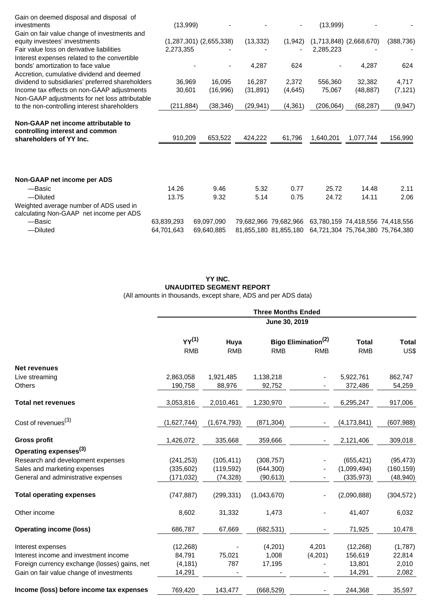| Gain on deemed disposal and disposal of                                                           |            |                             |           |                       |            |                             |                                  |
|---------------------------------------------------------------------------------------------------|------------|-----------------------------|-----------|-----------------------|------------|-----------------------------|----------------------------------|
| investments                                                                                       | (13,999)   |                             |           |                       | (13,999)   |                             |                                  |
| Gain on fair value change of investments and                                                      |            |                             |           |                       |            |                             |                                  |
| equity investees' investments                                                                     |            | $(1,287,301)$ $(2,655,338)$ | (13, 332) | (1, 942)              |            | $(1,713,848)$ $(2,668,670)$ | (388, 736)                       |
| Fair value loss on derivative liabilities                                                         | 2,273,355  |                             |           |                       | 2,285,223  |                             |                                  |
| Interest expenses related to the convertible                                                      |            |                             |           |                       |            |                             |                                  |
| bonds' amortization to face value                                                                 |            |                             | 4,287     | 624                   |            | 4,287                       | 624                              |
| Accretion, cumulative dividend and deemed                                                         |            |                             |           |                       |            |                             |                                  |
| dividend to subsidiaries' preferred shareholders                                                  | 36,969     | 16,095                      | 16,287    | 2,372                 | 556,360    | 32,382                      | 4,717                            |
| Income tax effects on non-GAAP adjustments                                                        | 30,601     | (16,996)                    | (31, 891) | (4,645)               | 75,067     | (48, 887)                   | (7, 121)                         |
| Non-GAAP adjustments for net loss attributable                                                    |            |                             |           |                       |            |                             |                                  |
| to the non-controlling interest shareholders                                                      | (211,884)  | (38, 346)                   | (29, 941) | (4, 361)              | (206, 064) | (68, 287)                   | (9, 947)                         |
| Non-GAAP net income attributable to<br>controlling interest and common<br>shareholders of YY Inc. | 910,209    | 653,522                     | 424,222   | 61,796                | 1,640,201  | 1,077,744                   | 156,990                          |
| Non-GAAP net income per ADS                                                                       |            |                             |           |                       |            |                             |                                  |
| -Basic                                                                                            | 14.26      | 9.46                        | 5.32      | 0.77                  | 25.72      | 14.48                       | 2.11                             |
| -Diluted                                                                                          | 13.75      | 9.32                        | 5.14      | 0.75                  | 24.72      | 14.11                       | 2.06                             |
| Weighted average number of ADS used in<br>calculating Non-GAAP net income per ADS                 |            |                             |           |                       |            |                             |                                  |
| -Basic                                                                                            | 63,839,293 | 69,097,090                  |           | 79,682,966 79,682,966 |            |                             | 63,780,159 74,418,556 74,418,556 |
| -Diluted                                                                                          | 64,701,643 | 69,640,885                  |           | 81,855,180 81,855,180 |            |                             | 64,721,304 75,764,380 75,764,380 |

## **YY INC. UNAUDITED SEGMENT REPORT** (All amounts in thousands, except share, ADS and per ADS data)

|                                               |                          |                    | <b>Three Months Ended</b><br>June 30, 2019 |                                               |                            |                      |
|-----------------------------------------------|--------------------------|--------------------|--------------------------------------------|-----------------------------------------------|----------------------------|----------------------|
|                                               | $YY^{(1)}$<br><b>RMB</b> | Huya<br><b>RMB</b> | <b>RMB</b>                                 | Bigo Elimination <sup>(2)</sup><br><b>RMB</b> | <b>Total</b><br><b>RMB</b> | <b>Total</b><br>US\$ |
| <b>Net revenues</b>                           |                          |                    |                                            |                                               |                            |                      |
| Live streaming                                | 2,863,058                | 1,921,485          | 1,138,218                                  |                                               | 5,922,761                  | 862,747              |
| Others                                        | 190,758                  | 88,976             | 92,752                                     |                                               | 372,486                    | 54,259               |
| <b>Total net revenues</b>                     | 3,053,816                | 2,010,461          | 1,230,970                                  |                                               | 6,295,247                  | 917,006              |
| Cost of revenues <sup>(3)</sup>               | (1,627,744)              | (1,674,793)        | (871, 304)                                 |                                               | (4, 173, 841)              | (607, 988)           |
| <b>Gross profit</b>                           | 1,426,072                | 335,668            | 359,666                                    |                                               | 2,121,406                  | 309,018              |
| Operating expenses <sup>(3)</sup>             |                          |                    |                                            |                                               |                            |                      |
| Research and development expenses             | (241, 253)               | (105, 411)         | (308, 757)                                 |                                               | (655, 421)                 | (95, 473)            |
| Sales and marketing expenses                  | (335, 602)               | (119, 592)         | (644, 300)                                 |                                               | (1,099,494)                | (160, 159)           |
| General and administrative expenses           | (171,032)                | (74, 328)          | (90, 613)                                  |                                               | (335, 973)                 | (48, 940)            |
| <b>Total operating expenses</b>               | (747, 887)               | (299, 331)         | (1,043,670)                                |                                               | (2,090,888)                | (304, 572)           |
| Other income                                  | 8,602                    | 31,332             | 1,473                                      | $\overline{\phantom{0}}$                      | 41,407                     | 6,032                |
| <b>Operating income (loss)</b>                | 686,787                  | 67,669             | (682, 531)                                 |                                               | 71,925                     | 10,478               |
| Interest expenses                             | (12, 268)                |                    | (4,201)                                    | 4,201                                         | (12, 268)                  | (1,787)              |
| Interest income and investment income         | 84,791                   | 75,021             | 1,008                                      | (4,201)                                       | 156,619                    | 22,814               |
| Foreign currency exchange (losses) gains, net | (4, 181)                 | 787                | 17,195                                     |                                               | 13,801                     | 2,010                |
| Gain on fair value change of investments      | 14,291                   |                    |                                            |                                               | 14,291                     | 2,082                |
| Income (loss) before income tax expenses      | 769,420                  | 143,477            | (668, 529)                                 |                                               | 244,368                    | 35,597               |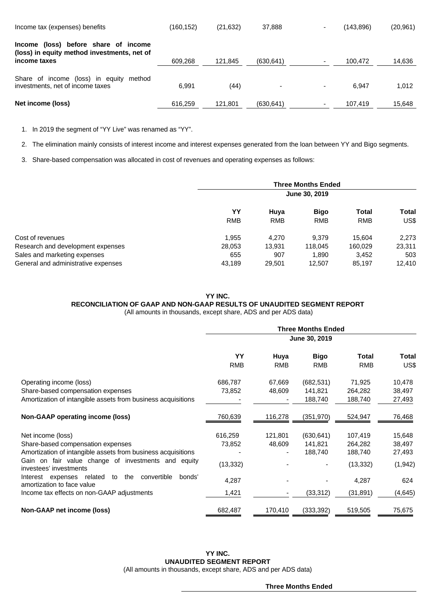| Income tax (expenses) benefits                                                                         | (160,152) | (21, 632) | 37,888     |                          | (143.896) | (20, 961) |
|--------------------------------------------------------------------------------------------------------|-----------|-----------|------------|--------------------------|-----------|-----------|
| (loss) before share of income<br>Income<br>(loss) in equity method investments, net of<br>income taxes | 609.268   | 121.845   | (630, 641) |                          | 100.472   | 14,636    |
|                                                                                                        |           |           |            |                          |           |           |
| Share of income (loss) in equity<br>method<br>investments, net of income taxes                         | 6.991     | (44)      | -          | $\overline{\phantom{0}}$ | 6.947     | 1.012     |
| Net income (loss)                                                                                      | 616,259   | 121.801   | (630, 641) |                          | 107.419   | 15,648    |

1. In 2019 the segment of "YY Live" was renamed as "YY".

2. The elimination mainly consists of interest income and interest expenses generated from the loan between YY and Bigo segments.

3. Share-based compensation was allocated in cost of revenues and operating expenses as follows:

|                                     | <b>Three Months Ended</b><br>June 30, 2019 |                    |                           |                            |               |  |
|-------------------------------------|--------------------------------------------|--------------------|---------------------------|----------------------------|---------------|--|
|                                     | YY<br><b>RMB</b>                           | Huya<br><b>RMB</b> | <b>Bigo</b><br><b>RMB</b> | <b>Total</b><br><b>RMB</b> | Total<br>US\$ |  |
| Cost of revenues                    | 1.955                                      | 4.270              | 9.379                     | 15.604                     | 2,273         |  |
| Research and development expenses   | 28,053                                     | 13.931             | 118.045                   | 160.029                    | 23,311        |  |
| Sales and marketing expenses        | 655                                        | 907                | 1.890                     | 3,452                      | 503           |  |
| General and administrative expenses | 43,189                                     | 29,501             | 12,507                    | 85,197                     | 12.410        |  |

#### **YY INC.**

## **RECONCILIATION OF GAAP AND NON-GAAP RESULTS OF UNAUDITED SEGMENT REPORT**

(All amounts in thousands, except share, ADS and per ADS data)

|                                                                                                                                                                                                                                                                                                                                                        | <b>Three Months Ended</b>                        |                    |                                               |                                                                  |                                                           |  |  |
|--------------------------------------------------------------------------------------------------------------------------------------------------------------------------------------------------------------------------------------------------------------------------------------------------------------------------------------------------------|--------------------------------------------------|--------------------|-----------------------------------------------|------------------------------------------------------------------|-----------------------------------------------------------|--|--|
|                                                                                                                                                                                                                                                                                                                                                        | June 30, 2019                                    |                    |                                               |                                                                  |                                                           |  |  |
|                                                                                                                                                                                                                                                                                                                                                        | YY<br><b>RMB</b>                                 | Huya<br><b>RMB</b> | <b>Bigo</b><br><b>RMB</b>                     | <b>Total</b><br><b>RMB</b>                                       | Total<br>US\$                                             |  |  |
| Operating income (loss)<br>Share-based compensation expenses<br>Amortization of intangible assets from business acquisitions                                                                                                                                                                                                                           | 686,787<br>73,852                                | 67,669<br>48,609   | (682, 531)<br>141,821<br>188,740              | 71,925<br>264,282<br>188,740                                     | 10,478<br>38,497<br>27,493                                |  |  |
| Non-GAAP operating income (loss)                                                                                                                                                                                                                                                                                                                       | 760,639                                          | 116,278            | (351, 970)                                    | 524,947                                                          | 76,468                                                    |  |  |
| Net income (loss)<br>Share-based compensation expenses<br>Amortization of intangible assets from business acquisitions<br>Gain on fair value change of investments and equity<br>investees' investments<br>Interest expenses related<br>the<br>convertible<br>bonds'<br>to<br>amortization to face value<br>Income tax effects on non-GAAP adjustments | 616,259<br>73,852<br>(13, 332)<br>4,287<br>1,421 | 121,801<br>48,609  | (630, 641)<br>141,821<br>188,740<br>(33, 312) | 107,419<br>264,282<br>188,740<br>(13, 332)<br>4,287<br>(31, 891) | 15,648<br>38,497<br>27,493<br>(1, 942)<br>624<br>(4, 645) |  |  |
| Non-GAAP net income (loss)                                                                                                                                                                                                                                                                                                                             | 682,487                                          | 170,410            | (333, 392)                                    | 519,505                                                          | 75,675                                                    |  |  |

**YY INC. UNAUDITED SEGMENT REPORT** (All amounts in thousands, except share, ADS and per ADS data)

**Three Months Ended**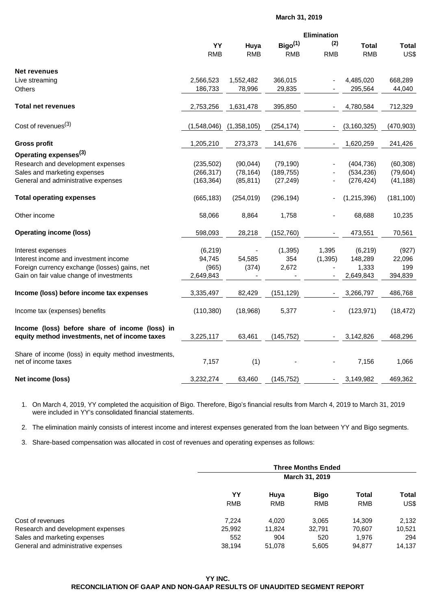#### **March 31, 2019**

|                                                                                                  |             |             |                     | Elimination |               |              |
|--------------------------------------------------------------------------------------------------|-------------|-------------|---------------------|-------------|---------------|--------------|
|                                                                                                  | YY          | Huya        | Bigo <sup>(1)</sup> | (2)         | <b>Total</b>  | <b>Total</b> |
|                                                                                                  | <b>RMB</b>  | <b>RMB</b>  | <b>RMB</b>          | <b>RMB</b>  | <b>RMB</b>    | US\$         |
| <b>Net revenues</b>                                                                              |             |             |                     |             |               |              |
| Live streaming                                                                                   | 2,566,523   | 1,552,482   | 366,015             |             | 4,485,020     | 668,289      |
| <b>Others</b>                                                                                    | 186,733     | 78,996      | 29,835              |             | 295,564       | 44,040       |
| <b>Total net revenues</b>                                                                        | 2,753,256   | 1,631,478   | 395,850             |             | 4,780,584     | 712,329      |
| Cost of revenues <sup>(3)</sup>                                                                  | (1,548,046) | (1,358,105) | (254, 174)          |             | (3, 160, 325) | (470, 903)   |
| <b>Gross profit</b>                                                                              | 1,205,210   | 273,373     | 141,676             |             | 1,620,259     | 241,426      |
| Operating expenses <sup>(3)</sup>                                                                |             |             |                     |             |               |              |
| Research and development expenses                                                                | (235, 502)  | (90,044)    | (79, 190)           |             | (404, 736)    | (60, 308)    |
| Sales and marketing expenses                                                                     | (266, 317)  | (78, 164)   | (189, 755)          |             | (534, 236)    | (79, 604)    |
| General and administrative expenses                                                              | (163, 364)  | (85, 811)   | (27, 249)           |             | (276, 424)    | (41, 188)    |
| <b>Total operating expenses</b>                                                                  | (665, 183)  | (254, 019)  | (296, 194)          |             | (1,215,396)   | (181, 100)   |
| Other income                                                                                     | 58,066      | 8,864       | 1,758               |             | 68,688        | 10,235       |
| <b>Operating income (loss)</b>                                                                   | 598,093     | 28,218      | (152, 760)          |             | 473,551       | 70,561       |
| Interest expenses                                                                                | (6, 219)    |             | (1, 395)            | 1,395       | (6, 219)      | (927)        |
| Interest income and investment income                                                            | 94,745      | 54,585      | 354                 | (1, 395)    | 148,289       | 22,096       |
| Foreign currency exchange (losses) gains, net                                                    | (965)       | (374)       | 2,672               |             | 1,333         | 199          |
| Gain on fair value change of investments                                                         | 2,649,843   |             |                     |             | 2,649,843     | 394,839      |
| Income (loss) before income tax expenses                                                         | 3,335,497   | 82,429      | (151, 129)          |             | 3,266,797     | 486,768      |
| Income tax (expenses) benefits                                                                   | (110, 380)  | (18,968)    | 5,377               |             | (123, 971)    | (18, 472)    |
| Income (loss) before share of income (loss) in<br>equity method investments, net of income taxes | 3,225,117   | 63,461      | (145, 752)          |             | 3,142,826     | 468,296      |
| Share of income (loss) in equity method investments,<br>net of income taxes                      | 7,157       | (1)         |                     |             | 7,156         | 1,066        |
| Net income (loss)                                                                                | 3,232,274   | 63,460      | (145, 752)          |             | 3,149,982     | 469,362      |
|                                                                                                  |             |             |                     |             |               |              |

1. On March 4, 2019, YY completed the acquisition of Bigo. Therefore, Bigo's financial results from March 4, 2019 to March 31, 2019 were included in YY's consolidated financial statements.

2. The elimination mainly consists of interest income and interest expenses generated from the loan between YY and Bigo segments.

3. Share-based compensation was allocated in cost of revenues and operating expenses as follows:

|                                     | <b>Three Months Ended</b> |                |             |              |        |  |
|-------------------------------------|---------------------------|----------------|-------------|--------------|--------|--|
|                                     |                           | March 31, 2019 |             |              |        |  |
|                                     | YY                        | Huva           | <b>Bigo</b> | <b>Total</b> | Total  |  |
|                                     | <b>RMB</b>                | <b>RMB</b>     | <b>RMB</b>  | <b>RMB</b>   | US\$   |  |
| Cost of revenues                    | 7.224                     | 4.020          | 3.065       | 14.309       | 2,132  |  |
| Research and development expenses   | 25,992                    | 11.824         | 32.791      | 70.607       | 10.521 |  |
| Sales and marketing expenses        | 552                       | 904            | 520         | 1.976        | 294    |  |
| General and administrative expenses | 38.194                    | 51,078         | 5.605       | 94,877       | 14,137 |  |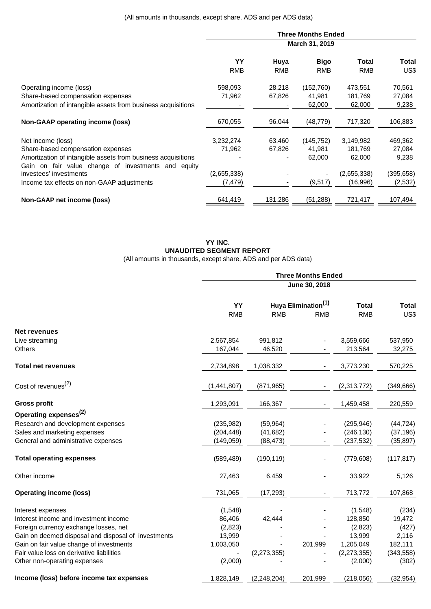|                                                                                                                     | <b>Three Months Ended</b> |            |             |             |            |  |  |  |
|---------------------------------------------------------------------------------------------------------------------|---------------------------|------------|-------------|-------------|------------|--|--|--|
|                                                                                                                     | March 31, 2019            |            |             |             |            |  |  |  |
|                                                                                                                     | YY                        | Huya       | <b>Bigo</b> | Total       | Total      |  |  |  |
|                                                                                                                     | <b>RMB</b>                | <b>RMB</b> | <b>RMB</b>  | <b>RMB</b>  | US\$       |  |  |  |
| Operating income (loss)                                                                                             | 598,093                   | 28,218     | (152, 760)  | 473,551     | 70,561     |  |  |  |
| Share-based compensation expenses                                                                                   | 71,962                    | 67,826     | 41,981      | 181,769     | 27,084     |  |  |  |
| Amortization of intangible assets from business acquisitions                                                        |                           |            | 62,000      | 62,000      | 9,238      |  |  |  |
| Non-GAAP operating income (loss)                                                                                    | 670,055                   | 96,044     | (48, 779)   | 717,320     | 106,883    |  |  |  |
| Net income (loss)                                                                                                   | 3,232,274                 | 63,460     | (145, 752)  | 3,149,982   | 469,362    |  |  |  |
| Share-based compensation expenses                                                                                   | 71,962                    | 67,826     | 41,981      | 181,769     | 27,084     |  |  |  |
| Amortization of intangible assets from business acquisitions<br>Gain on fair value change of investments and equity |                           |            | 62,000      | 62,000      | 9,238      |  |  |  |
| investees' investments                                                                                              | (2,655,338)               |            |             | (2,655,338) | (395, 658) |  |  |  |
| Income tax effects on non-GAAP adjustments                                                                          | (7, 479)                  |            | (9, 517)    | (16,996)    | (2,532)    |  |  |  |
| Non-GAAP net income (loss)                                                                                          | 641,419                   | 131,286    | (51, 288)   | 721,417     | 107,494    |  |  |  |

## **YY INC. UNAUDITED SEGMENT REPORT** (All amounts in thousands, except share, ADS and per ADS data)

|                                                     | <b>Three Months Ended</b> |               |                                               |                            |                      |  |  |
|-----------------------------------------------------|---------------------------|---------------|-----------------------------------------------|----------------------------|----------------------|--|--|
|                                                     |                           | June 30, 2018 |                                               |                            |                      |  |  |
|                                                     | YY<br><b>RMB</b>          | <b>RMB</b>    | Huya Elimination <sup>(1)</sup><br><b>RMB</b> | <b>Total</b><br><b>RMB</b> | <b>Total</b><br>US\$ |  |  |
|                                                     |                           |               |                                               |                            |                      |  |  |
| <b>Net revenues</b>                                 |                           |               |                                               |                            |                      |  |  |
| Live streaming                                      | 2,567,854                 | 991,812       |                                               | 3,559,666                  | 537,950              |  |  |
| Others                                              | 167,044                   | 46,520        |                                               | 213,564                    | 32,275               |  |  |
| <b>Total net revenues</b>                           | 2,734,898                 | 1,038,332     |                                               | 3,773,230                  | 570,225              |  |  |
| Cost of revenues <sup>(2)</sup>                     | (1,441,807)               | (871, 965)    |                                               | (2,313,772)                | (349, 666)           |  |  |
| <b>Gross profit</b>                                 | 1,293,091                 | 166,367       |                                               | 1,459,458                  | 220,559              |  |  |
| Operating expenses <sup>(2)</sup>                   |                           |               |                                               |                            |                      |  |  |
| Research and development expenses                   | (235, 982)                | (59, 964)     |                                               | (295, 946)                 | (44, 724)            |  |  |
| Sales and marketing expenses                        | (204, 448)                | (41, 682)     |                                               | (246, 130)                 | (37, 196)            |  |  |
| General and administrative expenses                 | (149, 059)                | (88, 473)     |                                               | (237, 532)                 | (35, 897)            |  |  |
| <b>Total operating expenses</b>                     | (589, 489)                | (190, 119)    |                                               | (779, 608)                 | (117, 817)           |  |  |
| Other income                                        | 27,463                    | 6,459         | $\overline{a}$                                | 33,922                     | 5,126                |  |  |
| <b>Operating income (loss)</b>                      | 731,065                   | (17, 293)     |                                               | 713,772                    | 107,868              |  |  |
| Interest expenses                                   | (1,548)                   |               |                                               | (1, 548)                   | (234)                |  |  |
| Interest income and investment income               | 86,406                    | 42,444        |                                               | 128,850                    | 19,472               |  |  |
| Foreign currency exchange losses, net               | (2,823)                   |               |                                               | (2,823)                    | (427)                |  |  |
| Gain on deemed disposal and disposal of investments | 13,999                    |               |                                               | 13,999                     | 2,116                |  |  |
| Gain on fair value change of investments            | 1,003,050                 |               | 201,999                                       | 1,205,049                  | 182,111              |  |  |
| Fair value loss on derivative liabilities           |                           | (2, 273, 355) |                                               | (2,273,355)                | (343, 558)           |  |  |
| Other non-operating expenses                        | (2,000)                   |               |                                               | (2,000)                    | (302)                |  |  |
| Income (loss) before income tax expenses            | 1,828,149                 | (2, 248, 204) | 201,999                                       | (218, 056)                 | (32, 954)            |  |  |